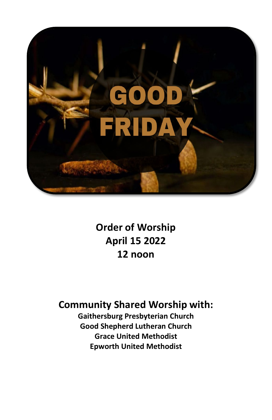

**Order of Worship April 15 2022 12 noon**

# **Community Shared Worship with:**

**Gaithersburg Presbyterian Church Good Shepherd Lutheran Church Grace United Methodist Epworth United Methodist**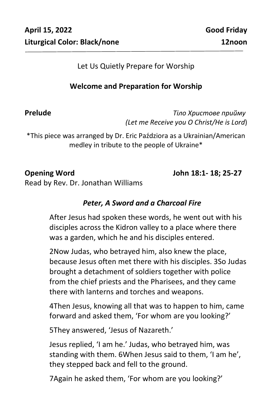#### Let Us Quietly Prepare for Worship

# **Welcome and Preparation for Worship**

**Prelude** *Тіло Христове прийму (Let me Receive you O Christ/He is Lord*)

\*This piece was arranged by Dr. Eric Paździora as a Ukrainian/American medley in tribute to the people of Ukraine\*

**Opening Word John 18:1- 18; 25-27**

Read by Rev. Dr. Jonathan Williams

# *Peter, A Sword and a Charcoal Fire*

After Jesus had spoken these words, he went out with his disciples across the Kidron valley to a place where there was a garden, which he and his disciples entered.

2Now Judas, who betrayed him, also knew the place, because Jesus often met there with his disciples. 3So Judas brought a detachment of soldiers together with police from the chief priests and the Pharisees, and they came there with lanterns and torches and weapons.

4Then Jesus, knowing all that was to happen to him, came forward and asked them, 'For whom are you looking?'

5They answered, 'Jesus of Nazareth.'

Jesus replied, 'I am he.' Judas, who betrayed him, was standing with them. 6When Jesus said to them, 'I am he', they stepped back and fell to the ground.

7Again he asked them, 'For whom are you looking?'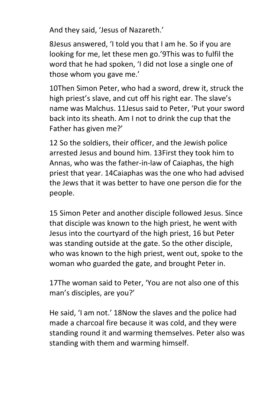And they said, 'Jesus of Nazareth.'

8Jesus answered, 'I told you that I am he. So if you are looking for me, let these men go.'9This was to fulfil the word that he had spoken, 'I did not lose a single one of those whom you gave me.'

10Then Simon Peter, who had a sword, drew it, struck the high priest's slave, and cut off his right ear. The slave's name was Malchus. 11Jesus said to Peter, 'Put your sword back into its sheath. Am I not to drink the cup that the Father has given me?'

12 So the soldiers, their officer, and the Jewish police arrested Jesus and bound him. 13First they took him to Annas, who was the father-in-law of Caiaphas, the high priest that year. 14Caiaphas was the one who had advised the Jews that it was better to have one person die for the people.

15 Simon Peter and another disciple followed Jesus. Since that disciple was known to the high priest, he went with Jesus into the courtyard of the high priest, 16 but Peter was standing outside at the gate. So the other disciple, who was known to the high priest, went out, spoke to the woman who guarded the gate, and brought Peter in.

17The woman said to Peter, 'You are not also one of this man's disciples, are you?'

He said, 'I am not.' 18Now the slaves and the police had made a charcoal fire because it was cold, and they were standing round it and warming themselves. Peter also was standing with them and warming himself.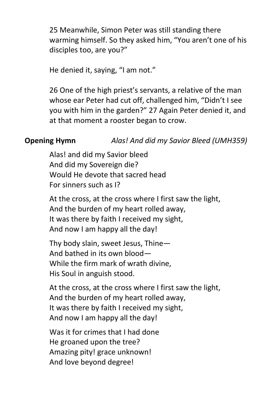25 Meanwhile, Simon Peter was still standing there warming himself. So they asked him, "You aren't one of his disciples too, are you?"

He denied it, saying, "I am not."

26 One of the high priest's servants, a relative of the man whose ear Peter had cut off, challenged him, "Didn't I see you with him in the garden?" 27 Again Peter denied it, and at that moment a rooster began to crow.

# **Opening Hymn** *Alas! And did my Savior Bleed (UMH359)*

Alas! and did my Savior bleed And did my Sovereign die? Would He devote that sacred head For sinners such as I?

At the cross, at the cross where I first saw the light, And the burden of my heart rolled away, It was there by faith I received my sight, And now I am happy all the day!

Thy body slain, sweet Jesus, Thine— And bathed in its own blood— While the firm mark of wrath divine, His Soul in anguish stood.

At the cross, at the cross where I first saw the light, And the burden of my heart rolled away, It was there by faith I received my sight, And now I am happy all the day!

Was it for crimes that I had done He groaned upon the tree? Amazing pity! grace unknown! And love beyond degree!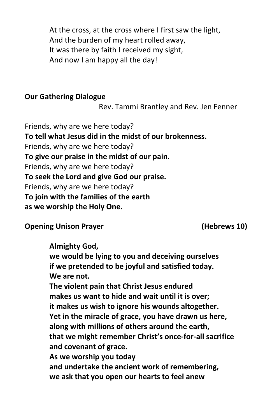At the cross, at the cross where I first saw the light, And the burden of my heart rolled away, It was there by faith I received my sight, And now I am happy all the day!

#### **Our Gathering Dialogue**

Rev. Tammi Brantley and Rev. Jen Fenner

Friends, why are we here today? **To tell what Jesus did in the midst of our brokenness.** Friends, why are we here today? **To give our praise in the midst of our pain.** Friends, why are we here today? **To seek the Lord and give God our praise.** Friends, why are we here today? **To join with the families of the earth as we worship the Holy One.**

**Opening Unison Prayer (Hebrews 10)**

**Almighty God,**

**we would be lying to you and deceiving ourselves if we pretended to be joyful and satisfied today. We are not.**

**The violent pain that Christ Jesus endured makes us want to hide and wait until it is over; it makes us wish to ignore his wounds altogether. Yet in the miracle of grace, you have drawn us here, along with millions of others around the earth, that we might remember Christ's once-for-all sacrifice and covenant of grace. As we worship you today**

**and undertake the ancient work of remembering, we ask that you open our hearts to feel anew**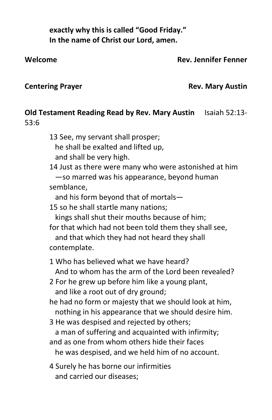**exactly why this is called "Good Friday." In the name of Christ our Lord, amen.**

### **Welcome Rev. Jennifer Fenner**

## **Centering Prayer Centering Prayer Austin**

# **Old Testament Reading Read by Rev. Mary Austin** Isaiah 52:13- 53:6

13 See, my servant shall prosper; he shall be exalted and lifted up, and shall be very high.

14 Just as there were many who were astonished at him —so marred was his appearance, beyond human semblance,

and his form beyond that of mortals—

15 so he shall startle many nations;

kings shall shut their mouths because of him;

for that which had not been told them they shall see,

 and that which they had not heard they shall contemplate.

1 Who has believed what we have heard? And to whom has the arm of the Lord been revealed?

2 For he grew up before him like a young plant, and like a root out of dry ground;

he had no form or majesty that we should look at him, nothing in his appearance that we should desire him.

3 He was despised and rejected by others;

a man of suffering and acquainted with infirmity;

- and as one from whom others hide their faces he was despised, and we held him of no account.
- 4 Surely he has borne our infirmities and carried our diseases;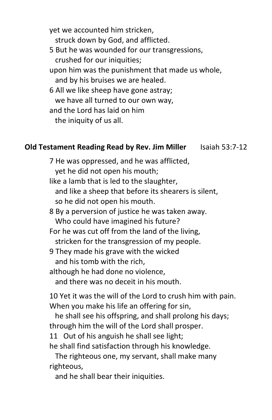yet we accounted him stricken, struck down by God, and afflicted. 5 But he was wounded for our transgressions, crushed for our iniquities; upon him was the punishment that made us whole, and by his bruises we are healed. 6 All we like sheep have gone astray; we have all turned to our own way, and the Lord has laid on him

the iniquity of us all.

#### **Old Testament Reading Read by Rev. Jim Miller** Isaiah 53:7-12

7 He was oppressed, and he was afflicted, yet he did not open his mouth; like a lamb that is led to the slaughter, and like a sheep that before its shearers is silent, so he did not open his mouth. 8 By a perversion of justice he was taken away. Who could have imagined his future? For he was cut off from the land of the living, stricken for the transgression of my people. 9 They made his grave with the wicked and his tomb with the rich, although he had done no violence, and there was no deceit in his mouth.

10 Yet it was the will of the Lord to crush him with pain. When you make his life an offering for sin,

 he shall see his offspring, and shall prolong his days; through him the will of the Lord shall prosper.

11 Out of his anguish he shall see light; he shall find satisfaction through his knowledge.

 The righteous one, my servant, shall make many righteous,

and he shall bear their iniquities.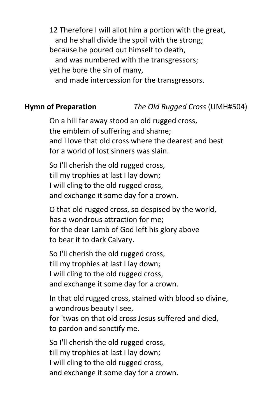12 Therefore I will allot him a portion with the great, and he shall divide the spoil with the strong; because he poured out himself to death, and was numbered with the transgressors; yet he bore the sin of many, and made intercession for the transgressors.

### **Hymn of Preparation** *The Old Rugged Cross* (UMH#504)

On a hill far away stood an old rugged cross, the emblem of suffering and shame; and I love that old cross where the dearest and best for a world of lost sinners was slain.

So I'll cherish the old rugged cross, till my trophies at last I lay down; I will cling to the old rugged cross, and exchange it some day for a crown.

O that old rugged cross, so despised by the world, has a wondrous attraction for me; for the dear Lamb of God left his glory above to bear it to dark Calvary.

So I'll cherish the old rugged cross, till my trophies at last I lay down; I will cling to the old rugged cross, and exchange it some day for a crown.

In that old rugged cross, stained with blood so divine, a wondrous beauty I see,

for 'twas on that old cross Jesus suffered and died, to pardon and sanctify me.

So I'll cherish the old rugged cross, till my trophies at last I lay down; I will cling to the old rugged cross, and exchange it some day for a crown.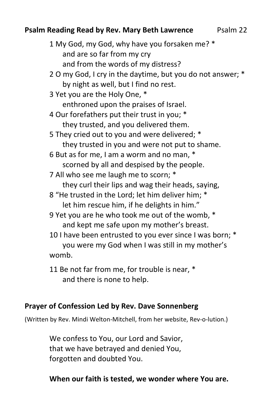# **Psalm Reading Read by Rev. Mary Beth Lawrence** Psalm 22

1 My God, my God, why have you forsaken me? \* and are so far from my cry and from the words of my distress? 2 O my God, I cry in the daytime, but you do not answer; \* by night as well, but I find no rest. 3 Yet you are the Holy One, \* enthroned upon the praises of Israel. 4 Our forefathers put their trust in you; \* they trusted, and you delivered them. 5 They cried out to you and were delivered; \* they trusted in you and were not put to shame. 6 But as for me, I am a worm and no man, \* scorned by all and despised by the people. 7 All who see me laugh me to scorn; \* they curl their lips and wag their heads, saying, 8 "He trusted in the Lord; let him deliver him; \* let him rescue him, if he delights in him." 9 Yet you are he who took me out of the womb, \* and kept me safe upon my mother's breast. 10 I have been entrusted to you ever since I was born; \* you were my God when I was still in my mother's womb.

11 Be not far from me, for trouble is near, \* and there is none to help.

# **Prayer of Confession Led by Rev. Dave Sonnenberg**

(Written by Rev. Mindi Welton-Mitchell, from her website, Rev-o-lution.)

We confess to You, our Lord and Savior, that we have betrayed and denied You, forgotten and doubted You.

# **When our faith is tested, we wonder where You are.**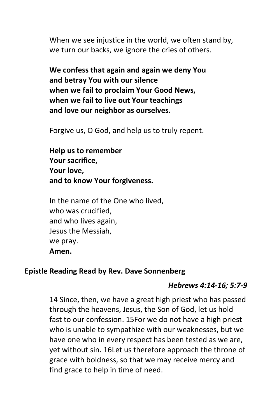When we see injustice in the world, we often stand by, we turn our backs, we ignore the cries of others.

**We confess that again and again we deny You and betray You with our silence when we fail to proclaim Your Good News, when we fail to live out Your teachings and love our neighbor as ourselves.**

Forgive us, O God, and help us to truly repent.

**Help us to remember Your sacrifice, Your love, and to know Your forgiveness.**

In the name of the One who lived, who was crucified, and who lives again, Jesus the Messiah, we pray. **Amen.**

### **Epistle Reading Read by Rev. Dave Sonnenberg**

### *Hebrews 4:14-16; 5:7-9*

14 Since, then, we have a great high priest who has passed through the heavens, Jesus, the Son of God, let us hold fast to our confession. 15For we do not have a high priest who is unable to sympathize with our weaknesses, but we have one who in every respect has been tested as we are, yet without sin. 16Let us therefore approach the throne of grace with boldness, so that we may receive mercy and find grace to help in time of need.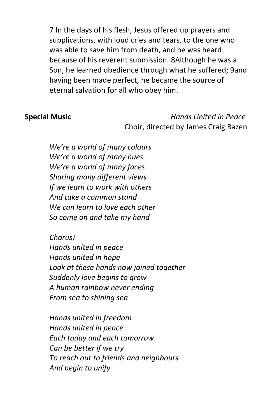7 In the days of his flesh, Jesus offered up prayers and supplications, with loud cries and tears, to the one who was able to save him from death, and he was heard because of his reverent submission. 8Although he was a Son, he learned obedience through what he suffered; 9and having been made perfect, he became the source of eternal salvation for all who obey him.

**Special Music** *Hands United in Peace* Choir, directed by James Craig Bazen

> *We're a world of many colours We're a world of many hues We're a world of many faces Sharing many different views If we learn to work with others And take a common stand We can learn to love each other So come on and take my hand*

*Chorus) Hands united in peace Hands united in hope Look at these hands now joined together Suddenly love begins to grow A human rainbow never ending From sea to shining sea*

*Hands united in freedom Hands united in peace Each today and each tomorrow Can be better if we try To reach out to friends and neighbours And begin to unify*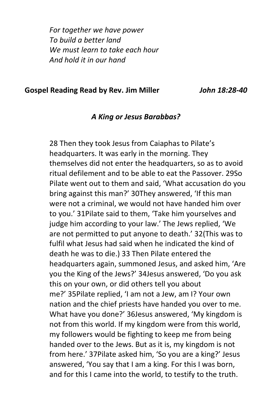*For together we have power To build a better land We must learn to take each hour And hold it in our hand*

#### **Gospel Reading Read by Rev. Jim Miller** *John 18:28-40*

#### *A King or Jesus Barabbas?*

28 Then they took Jesus from Caiaphas to Pilate's headquarters. It was early in the morning. They themselves did not enter the headquarters, so as to avoid ritual defilement and to be able to eat the Passover. 29So Pilate went out to them and said, 'What accusation do you bring against this man?' 30They answered, 'If this man were not a criminal, we would not have handed him over to you.' 31Pilate said to them, 'Take him yourselves and judge him according to your law.' The Jews replied, 'We are not permitted to put anyone to death.' 32(This was to fulfil what Jesus had said when he indicated the kind of death he was to die.) 33 Then Pilate entered the headquarters again, summoned Jesus, and asked him, 'Are you the King of the Jews?' 34Jesus answered, 'Do you ask this on your own, or did others tell you about me?' 35Pilate replied, 'I am not a Jew, am I? Your own nation and the chief priests have handed you over to me. What have you done?' 36Jesus answered, 'My kingdom is not from this world. If my kingdom were from this world, my followers would be fighting to keep me from being handed over to the Jews. But as it is, my kingdom is not from here.' 37Pilate asked him, 'So you are a king?' Jesus answered, 'You say that I am a king. For this I was born, and for this I came into the world, to testify to the truth.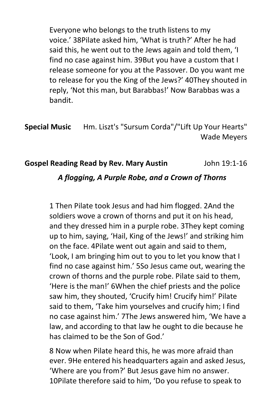Everyone who belongs to the truth listens to my voice.' 38Pilate asked him, 'What is truth?' After he had said this, he went out to the Jews again and told them, 'I find no case against him. 39But you have a custom that I release someone for you at the Passover. Do you want me to release for you the King of the Jews?' 40They shouted in reply, 'Not this man, but Barabbas!' Now Barabbas was a bandit.

**Special Music** Hm. Liszt's "Sursum Corda"/"Lift Up Your Hearts" Wade Meyers

### **Gospel Reading Read by Rev. Mary Austin** John 19:1-16

#### *A flogging, A Purple Robe, and a Crown of Thorns*

1 Then Pilate took Jesus and had him flogged. 2And the soldiers wove a crown of thorns and put it on his head, and they dressed him in a purple robe. 3They kept coming up to him, saying, 'Hail, King of the Jews!' and striking him on the face. 4Pilate went out again and said to them, 'Look, I am bringing him out to you to let you know that I find no case against him.' 5So Jesus came out, wearing the crown of thorns and the purple robe. Pilate said to them, 'Here is the man!' 6When the chief priests and the police saw him, they shouted, 'Crucify him! Crucify him!' Pilate said to them, 'Take him yourselves and crucify him; I find no case against him.' 7The Jews answered him, 'We have a law, and according to that law he ought to die because he has claimed to be the Son of God.'

8 Now when Pilate heard this, he was more afraid than ever. 9He entered his headquarters again and asked Jesus, 'Where are you from?' But Jesus gave him no answer. 10Pilate therefore said to him, 'Do you refuse to speak to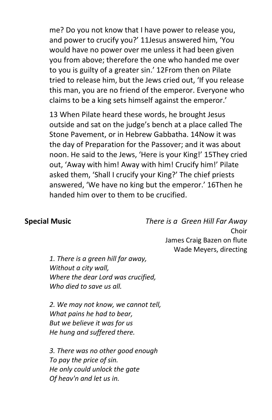me? Do you not know that I have power to release you, and power to crucify you?' 11Jesus answered him, 'You would have no power over me unless it had been given you from above; therefore the one who handed me over to you is guilty of a greater sin.' 12From then on Pilate tried to release him, but the Jews cried out, 'If you release this man, you are no friend of the emperor. Everyone who claims to be a king sets himself against the emperor.'

13 When Pilate heard these words, he brought Jesus outside and sat on the judge's bench at a place called The Stone Pavement, or in Hebrew Gabbatha. 14Now it was the day of Preparation for the Passover; and it was about noon. He said to the Jews, 'Here is your King!' 15They cried out, 'Away with him! Away with him! Crucify him!' Pilate asked them, 'Shall I crucify your King?' The chief priests answered, 'We have no king but the emperor.' 16Then he handed him over to them to be crucified.

**Special Music** *There is a Green Hill Far Away* Choir James Craig Bazen on flute Wade Meyers, directing

*1. There is a green hill far away, Without a city wall, Where the dear Lord was crucified, Who died to save us all.*

*2. We may not know, we cannot tell, What pains he had to bear, But we believe it was for us He hung and suffered there.*

*3. There was no other good enough To pay the price of sin. He only could unlock the gate Of heav'n and let us in.*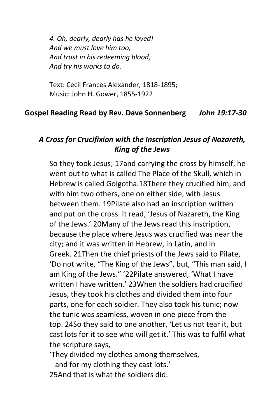*4. Oh, dearly, dearly has he loved! And we must love him too, And trust in his redeeming blood, And try his works to do.*

Text: Cecil Frances Alexander, 1818-1895; Music: John H. Gower, 1855-1922

#### **Gospel Reading Read by Rev. Dave Sonnenberg** *John 19:17-30*

# *A Cross for Crucifixion with the Inscription Jesus of Nazareth, King of the Jews*

So they took Jesus; 17and carrying the cross by himself, he went out to what is called The Place of the Skull, which in Hebrew is called Golgotha.18There they crucified him, and with him two others, one on either side, with Jesus between them. 19Pilate also had an inscription written and put on the cross. It read, 'Jesus of Nazareth, the King of the Jews.' 20Many of the Jews read this inscription, because the place where Jesus was crucified was near the city; and it was written in Hebrew, in Latin, and in Greek. 21Then the chief priests of the Jews said to Pilate, 'Do not write, "The King of the Jews", but, "This man said, I am King of the Jews." '22Pilate answered, 'What I have written I have written.' 23When the soldiers had crucified Jesus, they took his clothes and divided them into four parts, one for each soldier. They also took his tunic; now the tunic was seamless, woven in one piece from the top. 24So they said to one another, 'Let us not tear it, but cast lots for it to see who will get it.' This was to fulfil what the scripture says,

'They divided my clothes among themselves,

and for my clothing they cast lots.'

25And that is what the soldiers did.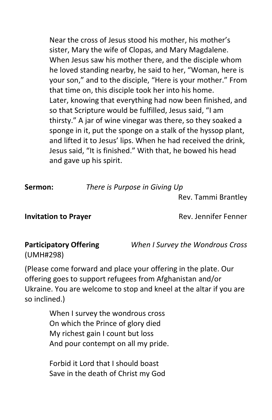Near the cross of Jesus stood his mother, his mother's sister, Mary the wife of Clopas, and Mary Magdalene. When Jesus saw his mother there, and the disciple whom he loved standing nearby, he said to her, "Woman, here is your son," and to the disciple, "Here is your mother." From that time on, this disciple took her into his home. Later, knowing that everything had now been finished, and so that Scripture would be fulfilled, Jesus said, "I am thirsty." A jar of wine vinegar was there, so they soaked a sponge in it, put the sponge on a stalk of the hyssop plant, and lifted it to Jesus' lips. When he had received the drink, Jesus said, "It is finished." With that, he bowed his head and gave up his spirit.

**Sermon:** *There is Purpose in Giving Up*

Rev. Tammi Brantley

**Invitation to Prayer Rev. Jennifer Fenner** 

(UMH#298)

**Participatory Offering** *When I Survey the Wondrous Cross*

(Please come forward and place your offering in the plate. Our offering goes to support refugees from Afghanistan and/or Ukraine. You are welcome to stop and kneel at the altar if you are so inclined.)

> When I survey the wondrous cross On which the Prince of glory died My richest gain I count but loss And pour contempt on all my pride.

Forbid it Lord that I should boast Save in the death of Christ my God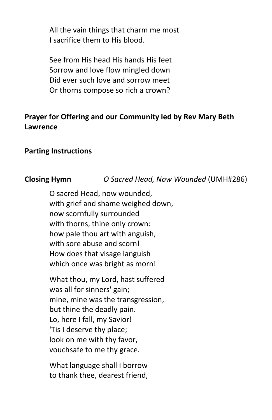All the vain things that charm me most I sacrifice them to His blood.

See from His head His hands His feet Sorrow and love flow mingled down Did ever such love and sorrow meet Or thorns compose so rich a crown?

# **Prayer for Offering and our Community led by Rev Mary Beth Lawrence**

#### **Parting Instructions**

# **Closing Hymn** *O Sacred Head, Now Wounded* (UMH#286)

O sacred Head, now wounded, with grief and shame weighed down, now scornfully surrounded with thorns, thine only crown: how pale thou art with anguish, with sore abuse and scorn! How does that visage languish which once was bright as morn!

What thou, my Lord, hast suffered was all for sinners' gain; mine, mine was the transgression, but thine the deadly pain. Lo, here I fall, my Savior! 'Tis I deserve thy place; look on me with thy favor, vouchsafe to me thy grace.

What language shall I borrow to thank thee, dearest friend,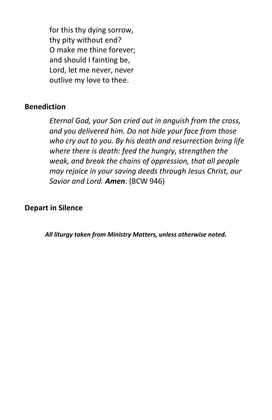for this thy dying sorrow, thy pity without end? O make me thine forever; and should I fainting be, Lord, let me never, never outlive my love to thee.

### **Benediction**

*Eternal God, your Son cried out in anguish from the cross, and you delivered him. Do not hide your face from those who cry out to you. By his death and resurrection bring life where there is death: feed the hungry, strengthen the weak, and break the chains of oppression, that all people may rejoice in your saving deeds through Jesus Christ, our Savior and Lord. Amen.* (BCW 946)

### **Depart in Silence**

*All liturgy taken from Ministry Matters, unless otherwise noted.*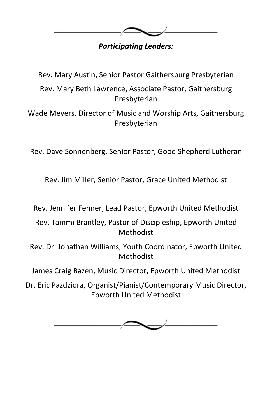

# *Participating Leaders:*

Rev. Mary Austin, Senior Pastor Gaithersburg Presbyterian

Rev. Mary Beth Lawrence, Associate Pastor, Gaithersburg Presbyterian

Wade Meyers, Director of Music and Worship Arts, Gaithersburg Presbyterian

Rev. Dave Sonnenberg, Senior Pastor, Good Shepherd Lutheran

Rev. Jim Miller, Senior Pastor, Grace United Methodist

Rev. Jennifer Fenner, Lead Pastor, Epworth United Methodist

Rev. Tammi Brantley, Pastor of Discipleship, Epworth United Methodist

Rev. Dr. Jonathan Williams, Youth Coordinator, Epworth United Methodist

James Craig Bazen, Music Director, Epworth United Methodist

Dr. Eric Pazdziora, Organist/Pianist/Contemporary Music Director, Epworth United Methodist